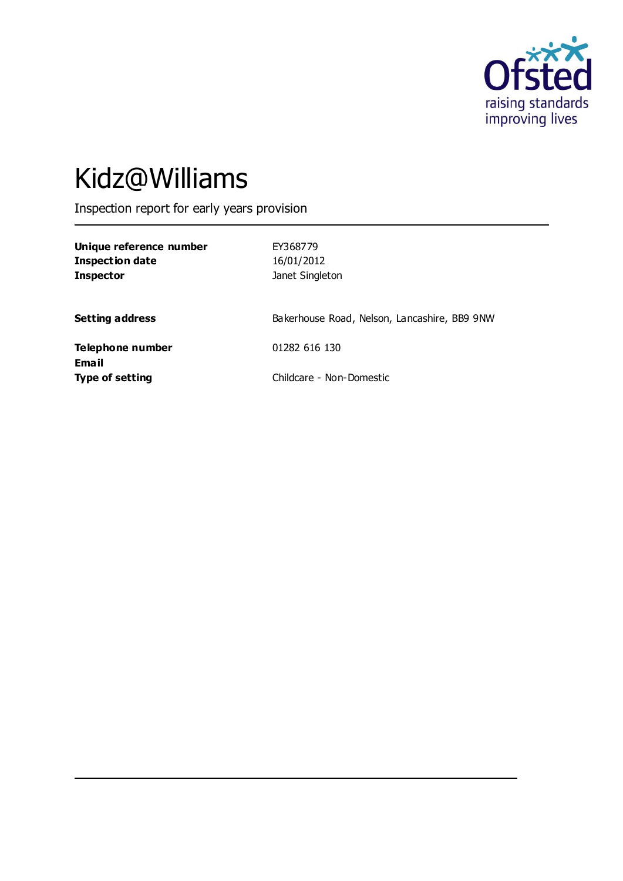

# Kidz@Williams

Inspection report for early years provision

| Unique reference number |  |
|-------------------------|--|
| Inspection date         |  |
| <b>Inspector</b>        |  |

**Unique reference number** EY368779 **Inspection date** 16/01/2012 **Janet Singleton** 

**Setting address** Bakerhouse Road, Nelson, Lancashire, BB9 9NW

**Telephone number** 01282 616 130 **Email Type of setting** Childcare - Non-Domestic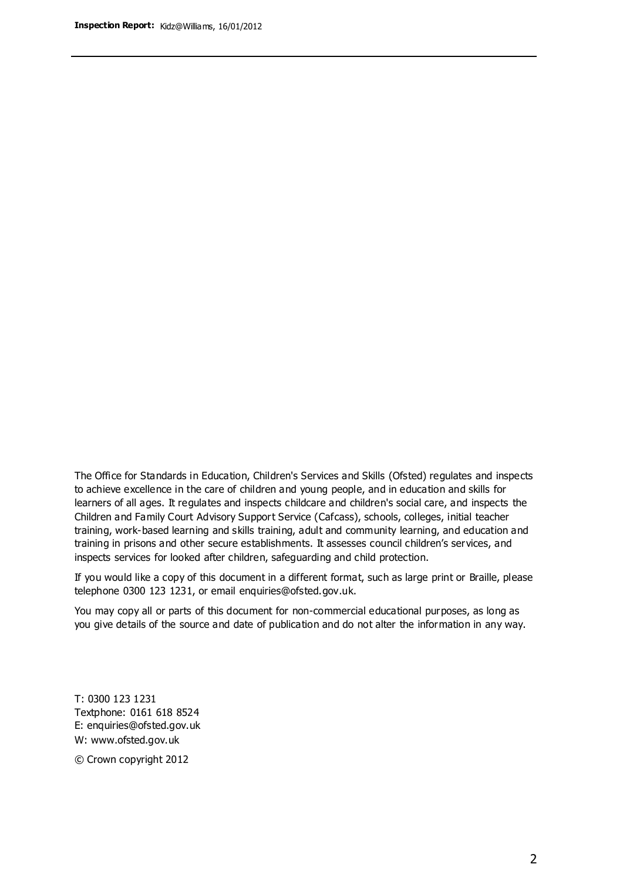The Office for Standards in Education, Children's Services and Skills (Ofsted) regulates and inspects to achieve excellence in the care of children and young people, and in education and skills for learners of all ages. It regulates and inspects childcare and children's social care, and inspects the Children and Family Court Advisory Support Service (Cafcass), schools, colleges, initial teacher training, work-based learning and skills training, adult and community learning, and education and training in prisons and other secure establishments. It assesses council children's services, and inspects services for looked after children, safeguarding and child protection.

If you would like a copy of this document in a different format, such as large print or Braille, please telephone 0300 123 1231, or email enquiries@ofsted.gov.uk.

You may copy all or parts of this document for non-commercial educational purposes, as long as you give details of the source and date of publication and do not alter the information in any way.

T: 0300 123 1231 Textphone: 0161 618 8524 E: enquiries@ofsted.gov.uk W: [www.ofsted.gov.uk](http://www.ofsted.gov.uk/)

© Crown copyright 2012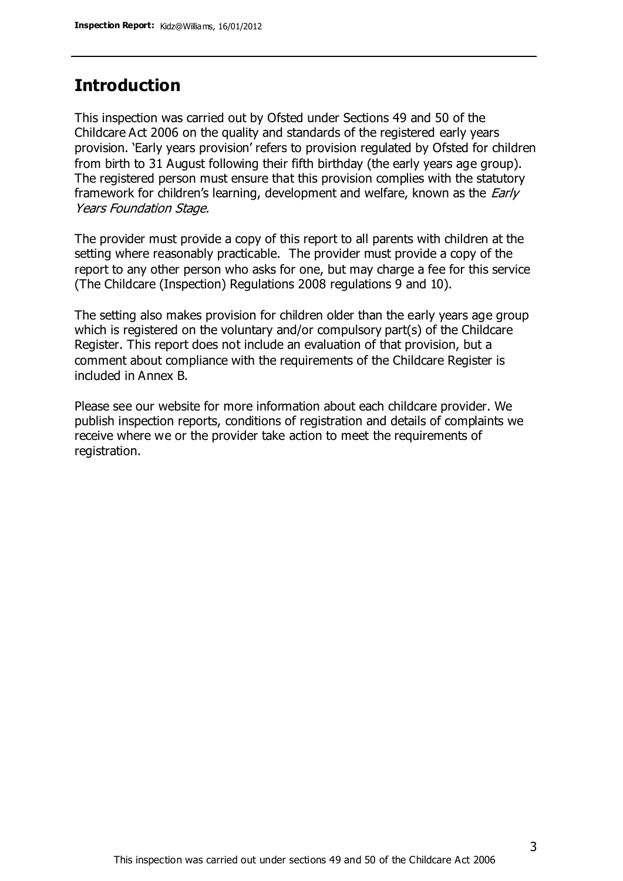## **Introduction**

This inspection was carried out by Ofsted under Sections 49 and 50 of the Childcare Act 2006 on the quality and standards of the registered early years provision. 'Early years provision' refers to provision regulated by Ofsted for children from birth to 31 August following their fifth birthday (the early years age group). The registered person must ensure that this provision complies with the statutory framework for children's learning, development and welfare, known as the *Early* Years Foundation Stage.

The provider must provide a copy of this report to all parents with children at the setting where reasonably practicable. The provider must provide a copy of the report to any other person who asks for one, but may charge a fee for this service (The Childcare (Inspection) Regulations 2008 regulations 9 and 10).

The setting also makes provision for children older than the early years age group which is registered on the voluntary and/or compulsory part(s) of the Childcare Register. This report does not include an evaluation of that provision, but a comment about compliance with the requirements of the Childcare Register is included in Annex B.

Please see our website for more information about each childcare provider. We publish inspection reports, conditions of registration and details of complaints we receive where we or the provider take action to meet the requirements of registration.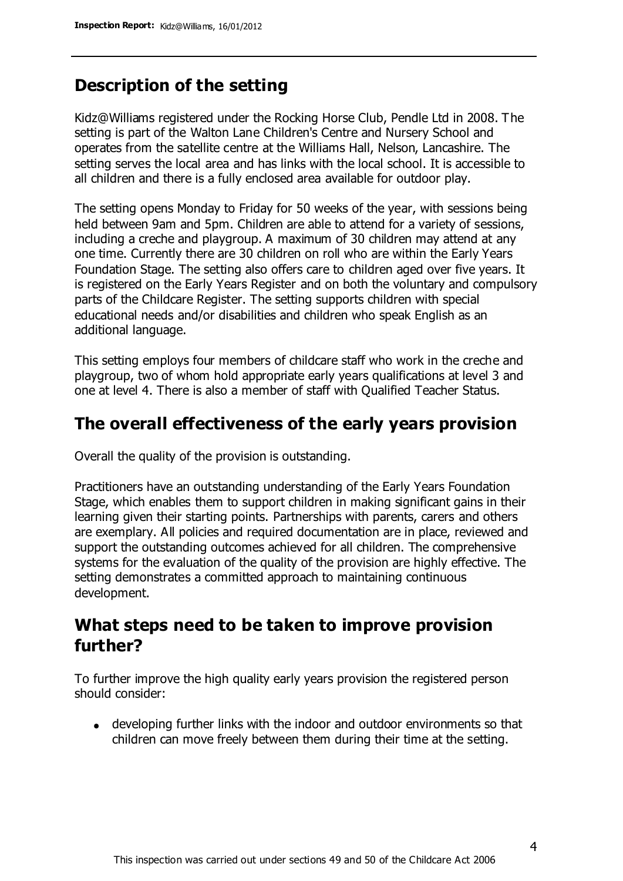## **Description of the setting**

Kidz@Williams registered under the Rocking Horse Club, Pendle Ltd in 2008. The setting is part of the Walton Lane Children's Centre and Nursery School and operates from the satellite centre at the Williams Hall, Nelson, Lancashire. The setting serves the local area and has links with the local school. It is accessible to all children and there is a fully enclosed area available for outdoor play.

The setting opens Monday to Friday for 50 weeks of the year, with sessions being held between 9am and 5pm. Children are able to attend for a variety of sessions, including a creche and playgroup. A maximum of 30 children may attend at any one time. Currently there are 30 children on roll who are within the Early Years Foundation Stage. The setting also offers care to children aged over five years. It is registered on the Early Years Register and on both the voluntary and compulsory parts of the Childcare Register. The setting supports children with special educational needs and/or disabilities and children who speak English as an additional language.

This setting employs four members of childcare staff who work in the creche and playgroup, two of whom hold appropriate early years qualifications at level 3 and one at level 4. There is also a member of staff with Qualified Teacher Status.

## **The overall effectiveness of the early years provision**

Overall the quality of the provision is outstanding.

Practitioners have an outstanding understanding of the Early Years Foundation Stage, which enables them to support children in making significant gains in their learning given their starting points. Partnerships with parents, carers and others are exemplary. All policies and required documentation are in place, reviewed and support the outstanding outcomes achieved for all children. The comprehensive systems for the evaluation of the quality of the provision are highly effective. The setting demonstrates a committed approach to maintaining continuous development.

## **What steps need to be taken to improve provision further?**

To further improve the high quality early years provision the registered person should consider:

developing further links with the indoor and outdoor environments so that children can move freely between them during their time at the setting.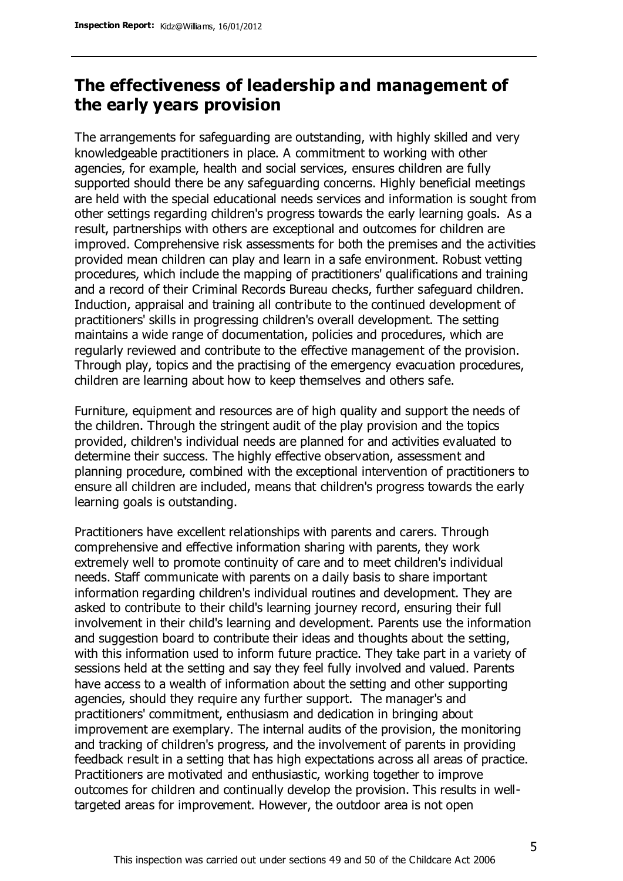## **The effectiveness of leadership and management of the early years provision**

The arrangements for safeguarding are outstanding, with highly skilled and very knowledgeable practitioners in place. A commitment to working with other agencies, for example, health and social services, ensures children are fully supported should there be any safeguarding concerns. Highly beneficial meetings are held with the special educational needs services and information is sought from other settings regarding children's progress towards the early learning goals. As a result, partnerships with others are exceptional and outcomes for children are improved. Comprehensive risk assessments for both the premises and the activities provided mean children can play and learn in a safe environment. Robust vetting procedures, which include the mapping of practitioners' qualifications and training and a record of their Criminal Records Bureau checks, further safeguard children. Induction, appraisal and training all contribute to the continued development of practitioners' skills in progressing children's overall development. The setting maintains a wide range of documentation, policies and procedures, which are regularly reviewed and contribute to the effective management of the provision. Through play, topics and the practising of the emergency evacuation procedures, children are learning about how to keep themselves and others safe.

Furniture, equipment and resources are of high quality and support the needs of the children. Through the stringent audit of the play provision and the topics provided, children's individual needs are planned for and activities evaluated to determine their success. The highly effective observation, assessment and planning procedure, combined with the exceptional intervention of practitioners to ensure all children are included, means that children's progress towards the early learning goals is outstanding.

Practitioners have excellent relationships with parents and carers. Through comprehensive and effective information sharing with parents, they work extremely well to promote continuity of care and to meet children's individual needs. Staff communicate with parents on a daily basis to share important information regarding children's individual routines and development. They are asked to contribute to their child's learning journey record, ensuring their full involvement in their child's learning and development. Parents use the information and suggestion board to contribute their ideas and thoughts about the setting, with this information used to inform future practice. They take part in a variety of sessions held at the setting and say they feel fully involved and valued. Parents have access to a wealth of information about the setting and other supporting agencies, should they require any further support. The manager's and practitioners' commitment, enthusiasm and dedication in bringing about improvement are exemplary. The internal audits of the provision, the monitoring and tracking of children's progress, and the involvement of parents in providing feedback result in a setting that has high expectations across all areas of practice. Practitioners are motivated and enthusiastic, working together to improve outcomes for children and continually develop the provision. This results in welltargeted areas for improvement. However, the outdoor area is not open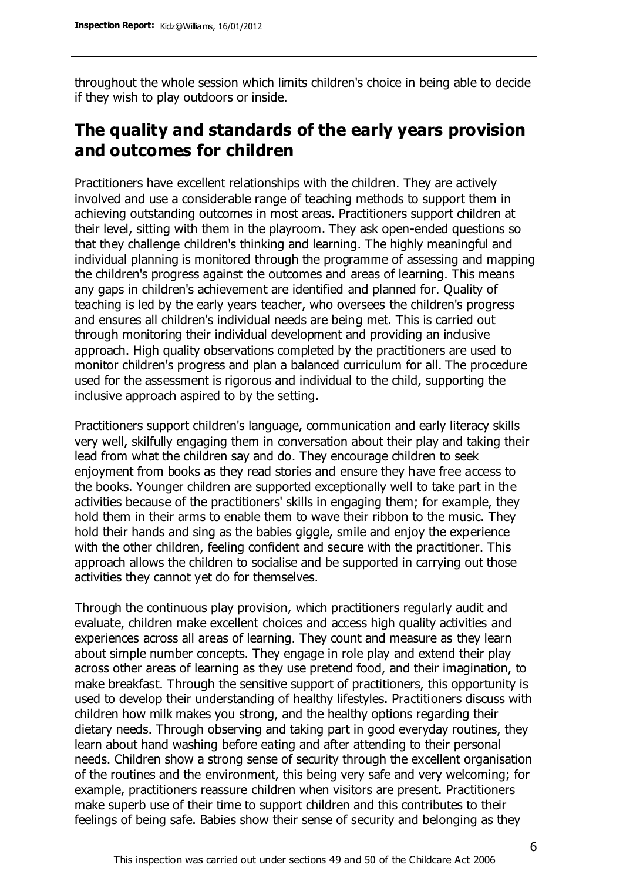throughout the whole session which limits children's choice in being able to decide if they wish to play outdoors or inside.

# **The quality and standards of the early years provision and outcomes for children**

Practitioners have excellent relationships with the children. They are actively involved and use a considerable range of teaching methods to support them in achieving outstanding outcomes in most areas. Practitioners support children at their level, sitting with them in the playroom. They ask open-ended questions so that they challenge children's thinking and learning. The highly meaningful and individual planning is monitored through the programme of assessing and mapping the children's progress against the outcomes and areas of learning. This means any gaps in children's achievement are identified and planned for. Quality of teaching is led by the early years teacher, who oversees the children's progress and ensures all children's individual needs are being met. This is carried out through monitoring their individual development and providing an inclusive approach. High quality observations completed by the practitioners are used to monitor children's progress and plan a balanced curriculum for all. The procedure used for the assessment is rigorous and individual to the child, supporting the inclusive approach aspired to by the setting.

Practitioners support children's language, communication and early literacy skills very well, skilfully engaging them in conversation about their play and taking their lead from what the children say and do. They encourage children to seek enjoyment from books as they read stories and ensure they have free access to the books. Younger children are supported exceptionally well to take part in the activities because of the practitioners' skills in engaging them; for example, they hold them in their arms to enable them to wave their ribbon to the music. They hold their hands and sing as the babies giggle, smile and enjoy the experience with the other children, feeling confident and secure with the practitioner. This approach allows the children to socialise and be supported in carrying out those activities they cannot yet do for themselves.

Through the continuous play provision, which practitioners regularly audit and evaluate, children make excellent choices and access high quality activities and experiences across all areas of learning. They count and measure as they learn about simple number concepts. They engage in role play and extend their play across other areas of learning as they use pretend food, and their imagination, to make breakfast. Through the sensitive support of practitioners, this opportunity is used to develop their understanding of healthy lifestyles. Practitioners discuss with children how milk makes you strong, and the healthy options regarding their dietary needs. Through observing and taking part in good everyday routines, they learn about hand washing before eating and after attending to their personal needs. Children show a strong sense of security through the excellent organisation of the routines and the environment, this being very safe and very welcoming; for example, practitioners reassure children when visitors are present. Practitioners make superb use of their time to support children and this contributes to their feelings of being safe. Babies show their sense of security and belonging as they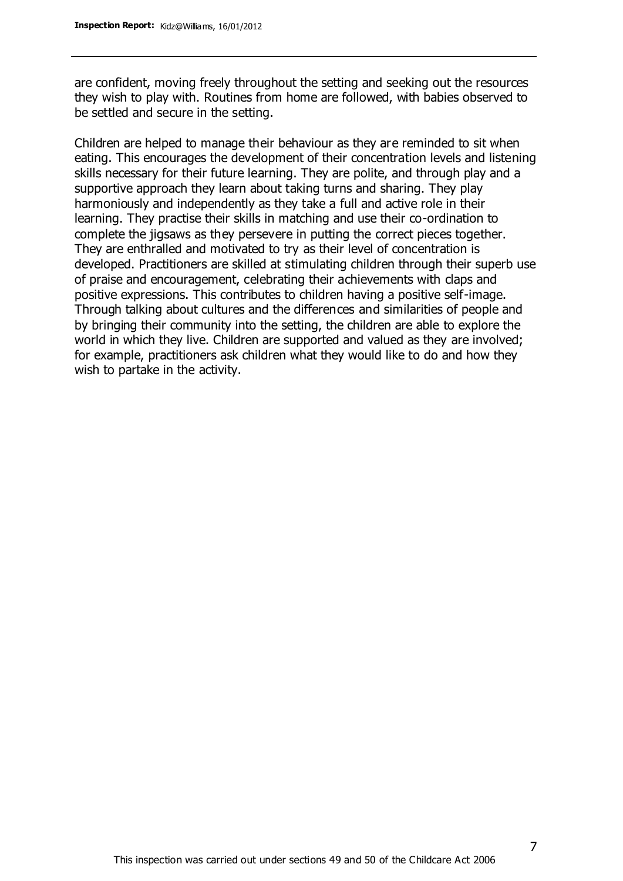are confident, moving freely throughout the setting and seeking out the resources they wish to play with. Routines from home are followed, with babies observed to be settled and secure in the setting.

Children are helped to manage their behaviour as they are reminded to sit when eating. This encourages the development of their concentration levels and listening skills necessary for their future learning. They are polite, and through play and a supportive approach they learn about taking turns and sharing. They play harmoniously and independently as they take a full and active role in their learning. They practise their skills in matching and use their co-ordination to complete the jigsaws as they persevere in putting the correct pieces together. They are enthralled and motivated to try as their level of concentration is developed. Practitioners are skilled at stimulating children through their superb use of praise and encouragement, celebrating their achievements with claps and positive expressions. This contributes to children having a positive self-image. Through talking about cultures and the differences and similarities of people and by bringing their community into the setting, the children are able to explore the world in which they live. Children are supported and valued as they are involved; for example, practitioners ask children what they would like to do and how they wish to partake in the activity.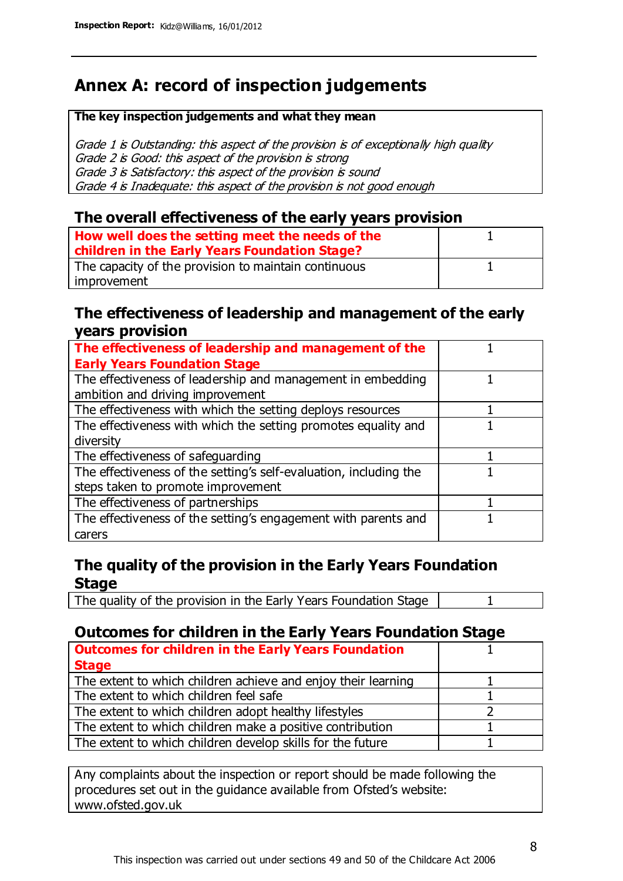# **Annex A: record of inspection judgements**

#### **The key inspection judgements and what they mean**

Grade 1 is Outstanding: this aspect of the provision is of exceptionally high quality Grade 2 is Good: this aspect of the provision is strong Grade 3 is Satisfactory: this aspect of the provision is sound Grade 4 is Inadequate: this aspect of the provision is not good enough

#### **The overall effectiveness of the early years provision**

| How well does the setting meet the needs of the<br>children in the Early Years Foundation Stage? |  |
|--------------------------------------------------------------------------------------------------|--|
| The capacity of the provision to maintain continuous                                             |  |
| improvement                                                                                      |  |

#### **The effectiveness of leadership and management of the early years provision**

| The effectiveness of leadership and management of the             |  |
|-------------------------------------------------------------------|--|
| <b>Early Years Foundation Stage</b>                               |  |
| The effectiveness of leadership and management in embedding       |  |
| ambition and driving improvement                                  |  |
| The effectiveness with which the setting deploys resources        |  |
| The effectiveness with which the setting promotes equality and    |  |
| diversity                                                         |  |
| The effectiveness of safeguarding                                 |  |
| The effectiveness of the setting's self-evaluation, including the |  |
| steps taken to promote improvement                                |  |
| The effectiveness of partnerships                                 |  |
| The effectiveness of the setting's engagement with parents and    |  |
| carers                                                            |  |

### **The quality of the provision in the Early Years Foundation Stage**

The quality of the provision in the Early Years Foundation Stage | 1

### **Outcomes for children in the Early Years Foundation Stage**

| <b>Outcomes for children in the Early Years Foundation</b>    |  |
|---------------------------------------------------------------|--|
| <b>Stage</b>                                                  |  |
| The extent to which children achieve and enjoy their learning |  |
| The extent to which children feel safe                        |  |
| The extent to which children adopt healthy lifestyles         |  |
| The extent to which children make a positive contribution     |  |
| The extent to which children develop skills for the future    |  |

Any complaints about the inspection or report should be made following the procedures set out in the guidance available from Ofsted's website: www.ofsted.gov.uk